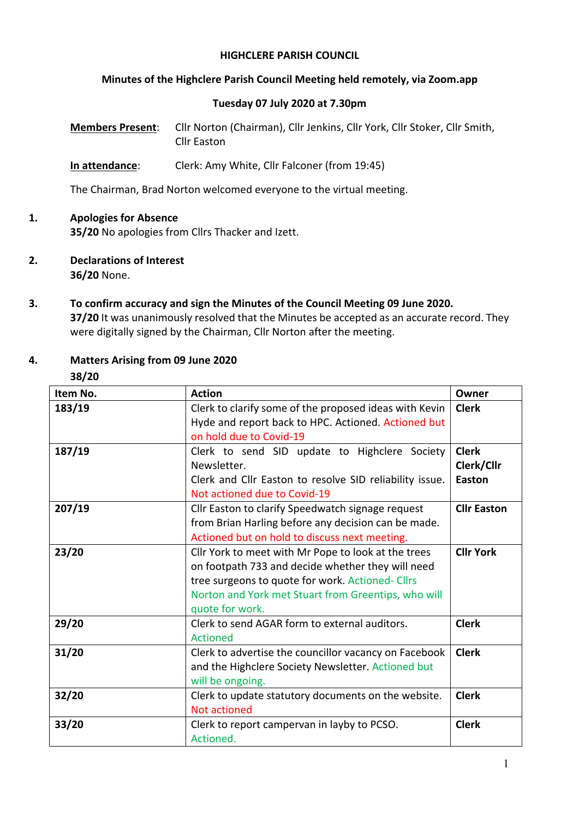#### **HIGHCLERE PARISH COUNCIL**

### **Minutes of the Highclere Parish Council Meeting held remotely, via Zoom.app**

### **Tuesday 07 July 2020 at 7.30pm**

**Members Present**: Cllr Norton (Chairman), Cllr Jenkins, Cllr York, Cllr Stoker, Cllr Smith, Cllr Easton

**In attendance**: Clerk: Amy White, Cllr Falconer (from 19:45)

The Chairman, Brad Norton welcomed everyone to the virtual meeting.

# **1. Apologies for Absence**

**35/20** No apologies from Cllrs Thacker and Izett.

- **2. Declarations of Interest 36/20** None.
- **3. To confirm accuracy and sign the Minutes of the Council Meeting 09 June 2020. 37/20** It was unanimously resolved that the Minutes be accepted as an accurate record. They were digitally signed by the Chairman, Cllr Norton after the meeting.

# **4. Matters Arising from 09 June 2020**

**38/20**

| Item No. | <b>Action</b>                                           | Owner            |  |  |
|----------|---------------------------------------------------------|------------------|--|--|
| 183/19   | Clerk to clarify some of the proposed ideas with Kevin  | <b>Clerk</b>     |  |  |
|          | Hyde and report back to HPC. Actioned. Actioned but     |                  |  |  |
|          | on hold due to Covid-19                                 |                  |  |  |
| 187/19   | Clerk to send SID update to Highclere Society           | <b>Clerk</b>     |  |  |
|          | Newsletter.                                             | Clerk/Cllr       |  |  |
|          | Clerk and Cllr Easton to resolve SID reliability issue. | Easton           |  |  |
|          | Not actioned due to Covid-19                            |                  |  |  |
| 207/19   | Cllr Easton to clarify Speedwatch signage request       |                  |  |  |
|          | from Brian Harling before any decision can be made.     |                  |  |  |
|          | Actioned but on hold to discuss next meeting.           |                  |  |  |
| 23/20    | Cllr York to meet with Mr Pope to look at the trees     | <b>Cllr York</b> |  |  |
|          | on footpath 733 and decide whether they will need       |                  |  |  |
|          | tree surgeons to quote for work. Actioned- Cllrs        |                  |  |  |
|          | Norton and York met Stuart from Greentips, who will     |                  |  |  |
|          | quote for work.                                         |                  |  |  |
| 29/20    | Clerk to send AGAR form to external auditors.           | <b>Clerk</b>     |  |  |
|          | <b>Actioned</b>                                         |                  |  |  |
| 31/20    | Clerk to advertise the councillor vacancy on Facebook   | <b>Clerk</b>     |  |  |
|          | and the Highclere Society Newsletter. Actioned but      |                  |  |  |
|          | will be ongoing.                                        |                  |  |  |
| 32/20    | Clerk to update statutory documents on the website.     | <b>Clerk</b>     |  |  |
|          | <b>Not actioned</b>                                     |                  |  |  |
| 33/20    | Clerk to report campervan in layby to PCSO.             | <b>Clerk</b>     |  |  |
|          | Actioned.                                               |                  |  |  |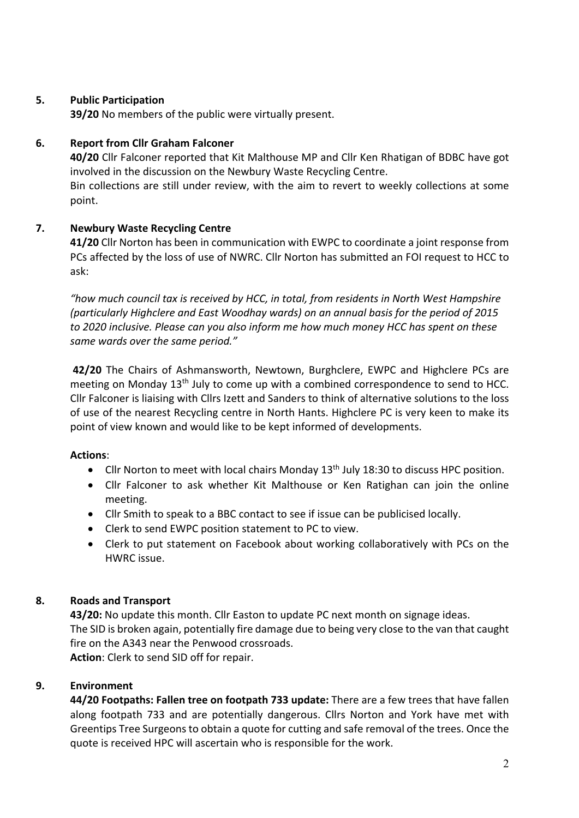## **5. Public Participation**

**39/20** No members of the public were virtually present.

## **6. Report from Cllr Graham Falconer**

**40/20** Cllr Falconer reported that Kit Malthouse MP and Cllr Ken Rhatigan of BDBC have got involved in the discussion on the Newbury Waste Recycling Centre. Bin collections are still under review, with the aim to revert to weekly collections at some point.

## **7. Newbury Waste Recycling Centre**

**41/20** Cllr Norton has been in communication with EWPC to coordinate a joint response from PCs affected by the loss of use of NWRC. Cllr Norton has submitted an FOI request to HCC to ask:

*"how much council tax is received by HCC, in total, from residents in North West Hampshire (particularly Highclere and East Woodhay wards) on an annual basis for the period of 2015 to 2020 inclusive. Please can you also inform me how much money HCC has spent on these same wards over the same period."*

**42/20** The Chairs of Ashmansworth, Newtown, Burghclere, EWPC and Highclere PCs are meeting on Monday 13<sup>th</sup> July to come up with a combined correspondence to send to HCC. Cllr Falconer is liaising with Cllrs Izett and Sanders to think of alternative solutions to the loss of use of the nearest Recycling centre in North Hants. Highclere PC is very keen to make its point of view known and would like to be kept informed of developments.

### **Actions**:

- Cllr Norton to meet with local chairs Monday 13<sup>th</sup> July 18:30 to discuss HPC position.
- Cllr Falconer to ask whether Kit Malthouse or Ken Ratighan can join the online meeting.
- Cllr Smith to speak to a BBC contact to see if issue can be publicised locally.
- Clerk to send EWPC position statement to PC to view.
- Clerk to put statement on Facebook about working collaboratively with PCs on the HWRC issue.

# **8. Roads and Transport**

**43/20:** No update this month. Cllr Easton to update PC next month on signage ideas. The SID is broken again, potentially fire damage due to being very close to the van that caught fire on the A343 near the Penwood crossroads. **Action**: Clerk to send SID off for repair.

# **9. Environment**

**44/20 Footpaths: Fallen tree on footpath 733 update:** There are a few trees that have fallen along footpath 733 and are potentially dangerous. Cllrs Norton and York have met with Greentips Tree Surgeons to obtain a quote for cutting and safe removal of the trees. Once the quote is received HPC will ascertain who is responsible for the work.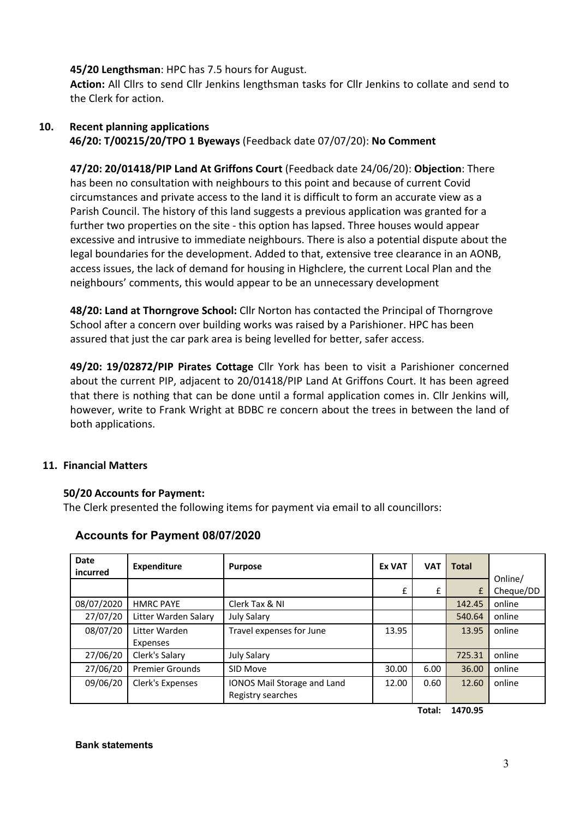### **45/20 Lengthsman**: HPC has 7.5 hours for August.

**Action:** All Cllrs to send Cllr Jenkins lengthsman tasks for Cllr Jenkins to collate and send to the Clerk for action.

### **10. Recent planning applications 46/20: T/00215/20/TPO 1 Byeways** (Feedback date 07/07/20): **No Comment**

**47/20: 20/01418/PIP Land At Griffons Court** (Feedback date 24/06/20): **Objection**: There has been no consultation with neighbours to this point and because of current Covid circumstances and private access to the land it is difficult to form an accurate view as a Parish Council. The history of this land suggests a previous application was granted for a further two properties on the site - this option has lapsed. Three houses would appear excessive and intrusive to immediate neighbours. There is also a potential dispute about the legal boundaries for the development. Added to that, extensive tree clearance in an AONB, access issues, the lack of demand for housing in Highclere, the current Local Plan and the neighbours' comments, this would appear to be an unnecessary development

**48/20: Land at Thorngrove School:** Cllr Norton has contacted the Principal of Thorngrove School after a concern over building works was raised by a Parishioner. HPC has been assured that just the car park area is being levelled for better, safer access.

**49/20: 19/02872/PIP Pirates Cottage** Cllr York has been to visit a Parishioner concerned about the current PIP, adjacent to 20/01418/PIP Land At Griffons Court. It has been agreed that there is nothing that can be done until a formal application comes in. Cllr Jenkins will, however, write to Frank Wright at BDBC re concern about the trees in between the land of both applications.

### **11. Financial Matters**

### **50/20 Accounts for Payment:**

The Clerk presented the following items for payment via email to all councillors:

| <b>Date</b><br>incurred | <b>Expenditure</b>        | <b>Purpose</b>                                   | <b>Ex VAT</b> | <b>VAT</b> | <b>Total</b> |                      |
|-------------------------|---------------------------|--------------------------------------------------|---------------|------------|--------------|----------------------|
|                         |                           |                                                  | £             | £          | £            | Online/<br>Cheque/DD |
| 08/07/2020              | <b>HMRC PAYE</b>          | Clerk Tax & NI                                   |               |            | 142.45       | online               |
| 27/07/20                | Litter Warden Salary      | <b>July Salary</b>                               |               |            | 540.64       | online               |
| 08/07/20                | Litter Warden<br>Expenses | Travel expenses for June                         | 13.95         |            | 13.95        | online               |
| 27/06/20                | Clerk's Salary            | <b>July Salary</b>                               |               |            | 725.31       | online               |
| 27/06/20                | <b>Premier Grounds</b>    | SID Move                                         | 30.00         | 6.00       | 36.00        | online               |
| 09/06/20                | Clerk's Expenses          | IONOS Mail Storage and Land<br>Registry searches | 12.00         | 0.60       | 12.60        | online               |

### **Accounts for Payment 08/07/2020**

**Total: 1470.95**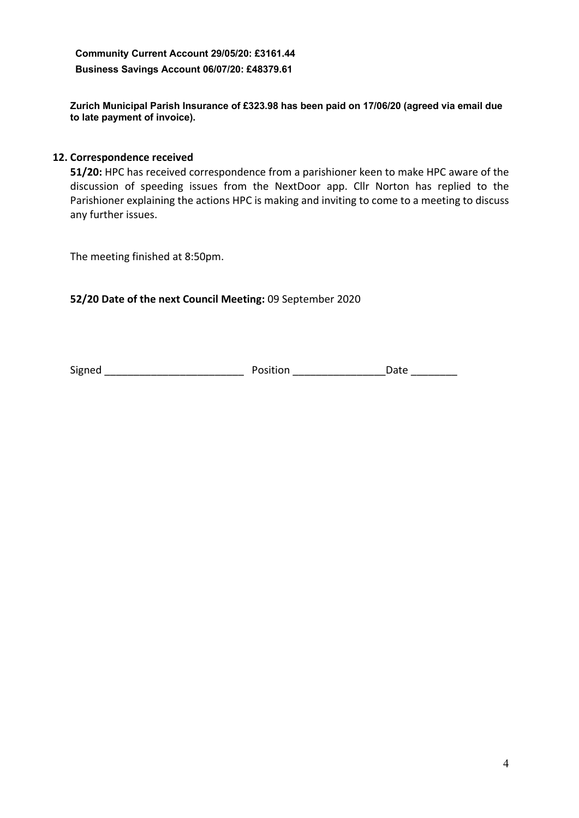**Community Current Account 29/05/20: £3161.44 Business Savings Account 06/07/20: £48379.61**

**Zurich Municipal Parish Insurance of £323.98 has been paid on 17/06/20 (agreed via email due to late payment of invoice).**

### **12. Correspondence received**

**51/20:** HPC has received correspondence from a parishioner keen to make HPC aware of the discussion of speeding issues from the NextDoor app. Cllr Norton has replied to the Parishioner explaining the actions HPC is making and inviting to come to a meeting to discuss any further issues.

The meeting finished at 8:50pm.

### **52/20 Date of the next Council Meeting:** 09 September 2020

Signed \_\_\_\_\_\_\_\_\_\_\_\_\_\_\_\_\_\_\_\_\_\_\_\_ Position \_\_\_\_\_\_\_\_\_\_\_\_\_\_\_\_Date \_\_\_\_\_\_\_\_